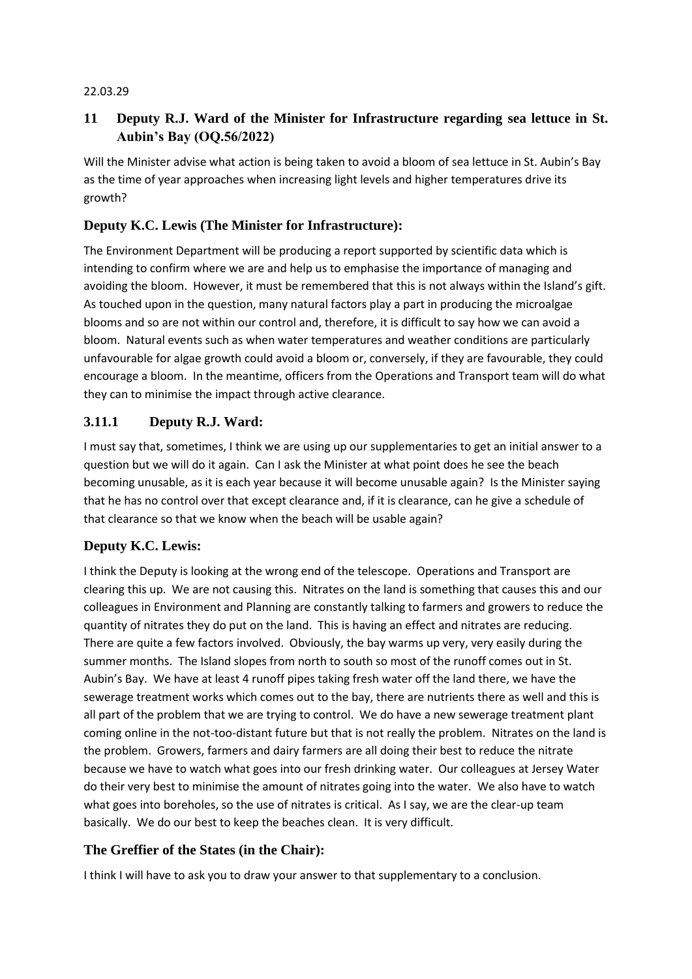#### 22.03.29

## **11 Deputy R.J. Ward of the Minister for Infrastructure regarding sea lettuce in St. Aubin's Bay (OQ.56/2022)**

Will the Minister advise what action is being taken to avoid a bloom of sea lettuce in St. Aubin's Bay as the time of year approaches when increasing light levels and higher temperatures drive its growth?

### **Deputy K.C. Lewis (The Minister for Infrastructure):**

The Environment Department will be producing a report supported by scientific data which is intending to confirm where we are and help us to emphasise the importance of managing and avoiding the bloom. However, it must be remembered that this is not always within the Island's gift. As touched upon in the question, many natural factors play a part in producing the microalgae blooms and so are not within our control and, therefore, it is difficult to say how we can avoid a bloom. Natural events such as when water temperatures and weather conditions are particularly unfavourable for algae growth could avoid a bloom or, conversely, if they are favourable, they could encourage a bloom. In the meantime, officers from the Operations and Transport team will do what they can to minimise the impact through active clearance.

### **3.11.1 Deputy R.J. Ward:**

I must say that, sometimes, I think we are using up our supplementaries to get an initial answer to a question but we will do it again. Can I ask the Minister at what point does he see the beach becoming unusable, as it is each year because it will become unusable again? Is the Minister saying that he has no control over that except clearance and, if it is clearance, can he give a schedule of that clearance so that we know when the beach will be usable again?

#### **Deputy K.C. Lewis:**

I think the Deputy is looking at the wrong end of the telescope. Operations and Transport are clearing this up. We are not causing this. Nitrates on the land is something that causes this and our colleagues in Environment and Planning are constantly talking to farmers and growers to reduce the quantity of nitrates they do put on the land. This is having an effect and nitrates are reducing. There are quite a few factors involved. Obviously, the bay warms up very, very easily during the summer months. The Island slopes from north to south so most of the runoff comes out in St. Aubin's Bay. We have at least 4 runoff pipes taking fresh water off the land there, we have the sewerage treatment works which comes out to the bay, there are nutrients there as well and this is all part of the problem that we are trying to control. We do have a new sewerage treatment plant coming online in the not-too-distant future but that is not really the problem. Nitrates on the land is the problem. Growers, farmers and dairy farmers are all doing their best to reduce the nitrate because we have to watch what goes into our fresh drinking water. Our colleagues at Jersey Water do their very best to minimise the amount of nitrates going into the water. We also have to watch what goes into boreholes, so the use of nitrates is critical. As I say, we are the clear-up team basically. We do our best to keep the beaches clean. It is very difficult.

## **The Greffier of the States (in the Chair):**

I think I will have to ask you to draw your answer to that supplementary to a conclusion.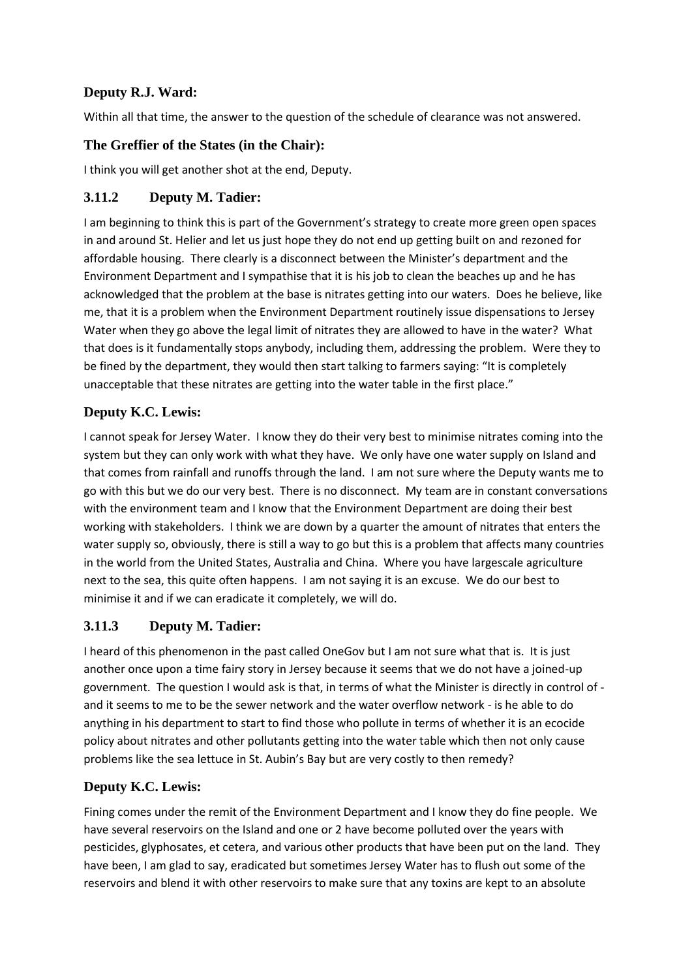## **Deputy R.J. Ward:**

Within all that time, the answer to the question of the schedule of clearance was not answered.

## **The Greffier of the States (in the Chair):**

I think you will get another shot at the end, Deputy.

# **3.11.2 Deputy M. Tadier:**

I am beginning to think this is part of the Government's strategy to create more green open spaces in and around St. Helier and let us just hope they do not end up getting built on and rezoned for affordable housing. There clearly is a disconnect between the Minister's department and the Environment Department and I sympathise that it is his job to clean the beaches up and he has acknowledged that the problem at the base is nitrates getting into our waters. Does he believe, like me, that it is a problem when the Environment Department routinely issue dispensations to Jersey Water when they go above the legal limit of nitrates they are allowed to have in the water? What that does is it fundamentally stops anybody, including them, addressing the problem. Were they to be fined by the department, they would then start talking to farmers saying: "It is completely unacceptable that these nitrates are getting into the water table in the first place."

# **Deputy K.C. Lewis:**

I cannot speak for Jersey Water. I know they do their very best to minimise nitrates coming into the system but they can only work with what they have. We only have one water supply on Island and that comes from rainfall and runoffs through the land. I am not sure where the Deputy wants me to go with this but we do our very best. There is no disconnect. My team are in constant conversations with the environment team and I know that the Environment Department are doing their best working with stakeholders. I think we are down by a quarter the amount of nitrates that enters the water supply so, obviously, there is still a way to go but this is a problem that affects many countries in the world from the United States, Australia and China. Where you have largescale agriculture next to the sea, this quite often happens. I am not saying it is an excuse. We do our best to minimise it and if we can eradicate it completely, we will do.

## **3.11.3 Deputy M. Tadier:**

I heard of this phenomenon in the past called OneGov but I am not sure what that is. It is just another once upon a time fairy story in Jersey because it seems that we do not have a joined-up government. The question I would ask is that, in terms of what the Minister is directly in control of and it seems to me to be the sewer network and the water overflow network - is he able to do anything in his department to start to find those who pollute in terms of whether it is an ecocide policy about nitrates and other pollutants getting into the water table which then not only cause problems like the sea lettuce in St. Aubin's Bay but are very costly to then remedy?

# **Deputy K.C. Lewis:**

Fining comes under the remit of the Environment Department and I know they do fine people. We have several reservoirs on the Island and one or 2 have become polluted over the years with pesticides, glyphosates, et cetera, and various other products that have been put on the land. They have been, I am glad to say, eradicated but sometimes Jersey Water has to flush out some of the reservoirs and blend it with other reservoirs to make sure that any toxins are kept to an absolute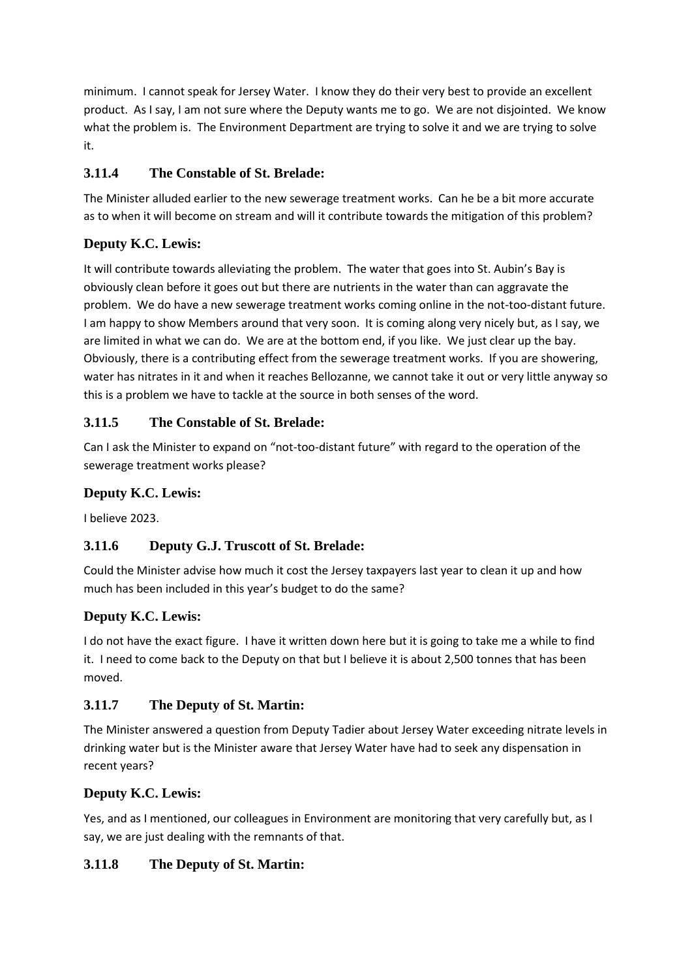minimum. I cannot speak for Jersey Water. I know they do their very best to provide an excellent product. As I say, I am not sure where the Deputy wants me to go. We are not disjointed. We know what the problem is. The Environment Department are trying to solve it and we are trying to solve it.

# **3.11.4 The Constable of St. Brelade:**

The Minister alluded earlier to the new sewerage treatment works. Can he be a bit more accurate as to when it will become on stream and will it contribute towards the mitigation of this problem?

# **Deputy K.C. Lewis:**

It will contribute towards alleviating the problem. The water that goes into St. Aubin's Bay is obviously clean before it goes out but there are nutrients in the water than can aggravate the problem. We do have a new sewerage treatment works coming online in the not-too-distant future. I am happy to show Members around that very soon. It is coming along very nicely but, as I say, we are limited in what we can do. We are at the bottom end, if you like. We just clear up the bay. Obviously, there is a contributing effect from the sewerage treatment works. If you are showering, water has nitrates in it and when it reaches Bellozanne, we cannot take it out or very little anyway so this is a problem we have to tackle at the source in both senses of the word.

# **3.11.5 The Constable of St. Brelade:**

Can I ask the Minister to expand on "not-too-distant future" with regard to the operation of the sewerage treatment works please?

## **Deputy K.C. Lewis:**

I believe 2023.

## **3.11.6 Deputy G.J. Truscott of St. Brelade:**

Could the Minister advise how much it cost the Jersey taxpayers last year to clean it up and how much has been included in this year's budget to do the same?

## **Deputy K.C. Lewis:**

I do not have the exact figure. I have it written down here but it is going to take me a while to find it. I need to come back to the Deputy on that but I believe it is about 2,500 tonnes that has been moved.

## **3.11.7 The Deputy of St. Martin:**

The Minister answered a question from Deputy Tadier about Jersey Water exceeding nitrate levels in drinking water but is the Minister aware that Jersey Water have had to seek any dispensation in recent years?

## **Deputy K.C. Lewis:**

Yes, and as I mentioned, our colleagues in Environment are monitoring that very carefully but, as I say, we are just dealing with the remnants of that.

# **3.11.8 The Deputy of St. Martin:**